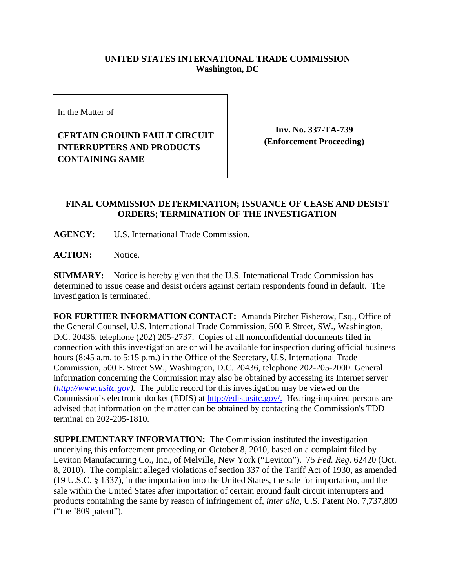## **UNITED STATES INTERNATIONAL TRADE COMMISSION Washington, DC**

In the Matter of

## **CERTAIN GROUND FAULT CIRCUIT INTERRUPTERS AND PRODUCTS CONTAINING SAME**

**Inv. No. 337-TA-739 (Enforcement Proceeding)**

## **FINAL COMMISSION DETERMINATION; ISSUANCE OF CEASE AND DESIST ORDERS; TERMINATION OF THE INVESTIGATION**

**AGENCY:** U.S. International Trade Commission.

**ACTION:** Notice.

**SUMMARY:** Notice is hereby given that the U.S. International Trade Commission has determined to issue cease and desist orders against certain respondents found in default. The investigation is terminated.

**FOR FURTHER INFORMATION CONTACT:** Amanda Pitcher Fisherow, Esq., Office of the General Counsel, U.S. International Trade Commission, 500 E Street, SW., Washington, D.C. 20436, telephone (202) 205-2737. Copies of all nonconfidential documents filed in connection with this investigation are or will be available for inspection during official business hours (8:45 a.m. to 5:15 p.m.) in the Office of the Secretary, U.S. International Trade Commission, 500 E Street SW., Washington, D.C. 20436, telephone 202-205-2000. General information concerning the Commission may also be obtained by accessing its Internet server (*http://www.usitc.gov).* The public record for this investigation may be viewed on the Commission's electronic docket (EDIS) at http://edis.usitc.gov/. Hearing-impaired persons are advised that information on the matter can be obtained by contacting the Commission's TDD terminal on 202-205-1810.

**SUPPLEMENTARY INFORMATION:** The Commission instituted the investigation underlying this enforcement proceeding on October 8, 2010, based on a complaint filed by Leviton Manufacturing Co., Inc., of Melville, New York ("Leviton"). 75 *Fed. Reg*. 62420 (Oct. 8, 2010). The complaint alleged violations of section 337 of the Tariff Act of 1930, as amended (19 U.S.C. § 1337), in the importation into the United States, the sale for importation, and the sale within the United States after importation of certain ground fault circuit interrupters and products containing the same by reason of infringement of, *inter alia*, U.S. Patent No. 7,737,809 ("the '809 patent").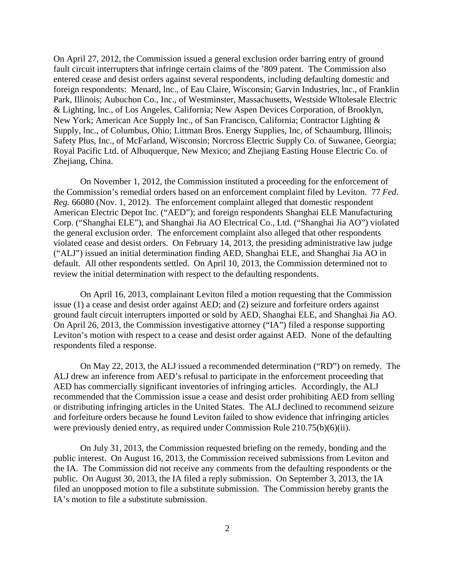On April 27, 2012, the Commission issued a general exclusion order barring entry of ground fault circuit interrupters that infringe certain claims of the '809 patent. The Commission also entered cease and desist orders against several respondents, including defaulting domestic and foreign respondents: Menard, lnc., of Eau Claire, Wisconsin; Garvin Industries, lnc., of Franklin Park, Illinois; Aubuchon Co., Inc., of Westminster, Massachusetts, Westside Wltolesale Electric & Lighting, lnc., of Los Angeles, California; New Aspen Devices Corporation, of Brooklyn, New York; American Ace Supply Inc., of San Francisco, California; Contractor Lighting & Supply, lnc., of Columbus, Ohio; Littman Bros. Energy Supplies, Inc, of Schaumburg, Illinois; Safety Plus, Inc., of McFarland, Wisconsin; Norcross Electric Supply Co. of Suwanee, Georgia; Royal Pacific Ltd. of Albuquerque, New Mexico; and Zhejiang Easting House Electric Co. of Zhejiang, China.

On November 1, 2012, the Commission instituted a proceeding for the enforcement of the Commission's remedial orders based on an enforcement complaint filed by Leviton. 77 *Fed. Reg.* 66080 (Nov. 1, 2012). The enforcement complaint alleged that domestic respondent American Electric Depot Inc. ("AED"); and foreign respondents Shanghai ELE Manufacturing Corp. ("Shanghai ELE"), and Shanghai Jia AO Electrical Co., Ltd. ("Shanghai Jia AO") violated the general exclusion order. The enforcement complaint also alleged that other respondents violated cease and desist orders. On February 14, 2013, the presiding administrative law judge ("ALJ") issued an initial determination finding AED, Shanghai ELE, and Shanghai Jia AO in default. All other respondents settled. On April 10, 2013, the Commission determined not to review the initial determination with respect to the defaulting respondents.

On April 16, 2013, complainant Leviton filed a motion requesting that the Commission issue (1) a cease and desist order against AED; and (2) seizure and forfeiture orders against ground fault circuit interrupters imported or sold by AED, Shanghai ELE, and Shanghai Jia AO. On April 26, 2013, the Commission investigative attorney ("IA") filed a response supporting Leviton's motion with respect to a cease and desist order against AED. None of the defaulting respondents filed a response.

On May 22, 2013, the ALJ issued a recommended determination ("RD") on remedy. The ALJ drew an inference from AED's refusal to participate in the enforcement proceeding that AED has commercially significant inventories of infringing articles. Accordingly, the ALJ recommended that the Commission issue a cease and desist order prohibiting AED from selling or distributing infringing articles in the United States. The ALJ declined to recommend seizure and forfeiture orders because he found Leviton failed to show evidence that infringing articles were previously denied entry, as required under Commission Rule 210.75(b)(6)(ii).

On July 31, 2013, the Commission requested briefing on the remedy, bonding and the public interest. On August 16, 2013, the Commission received submissions from Leviton and the IA. The Commission did not receive any comments from the defaulting respondents or the public. On August 30, 2013, the IA filed a reply submission. On September 3, 2013, the IA filed an unopposed motion to file a substitute submission. The Commission hereby grants the IA's motion to file a substitute submission.